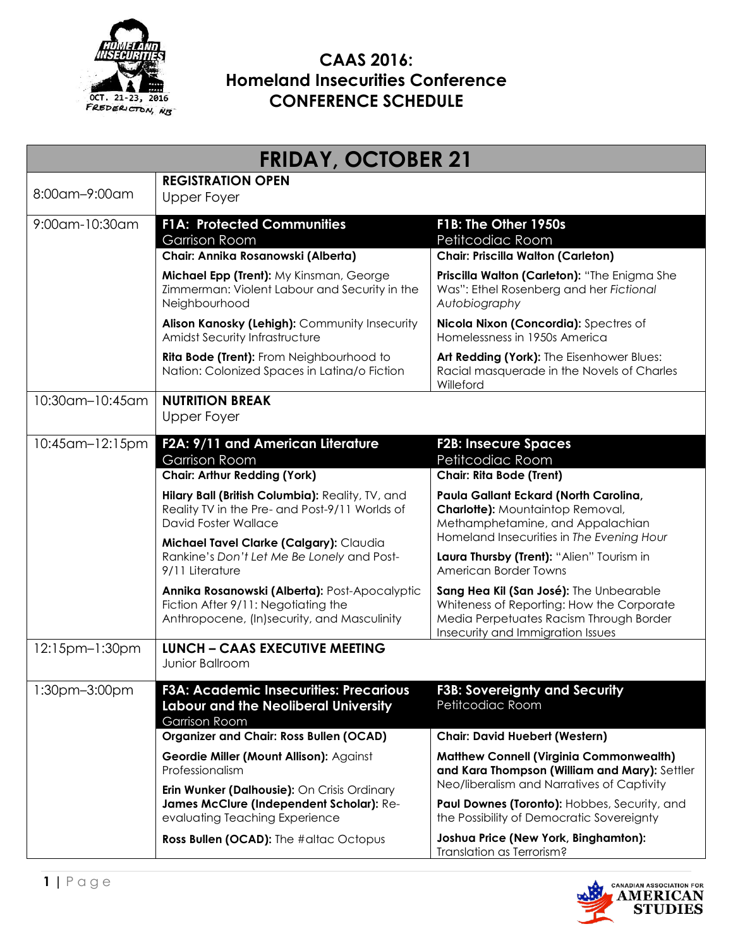

| <b>FRIDAY, OCTOBER 21</b> |                                                                                                                                     |                                                                                                                                                                      |
|---------------------------|-------------------------------------------------------------------------------------------------------------------------------------|----------------------------------------------------------------------------------------------------------------------------------------------------------------------|
| 8:00am-9:00am             | <b>REGISTRATION OPEN</b><br>Upper Foyer                                                                                             |                                                                                                                                                                      |
| 9:00am-10:30am            | <b>F1A: Protected Communities</b><br><b>Garrison Room</b>                                                                           | F1B: The Other 1950s<br>Petitcodiac Room                                                                                                                             |
|                           | Chair: Annika Rosanowski (Alberta)                                                                                                  | <b>Chair: Priscilla Walton (Carleton)</b>                                                                                                                            |
|                           | Michael Epp (Trent): My Kinsman, George<br>Zimmerman: Violent Labour and Security in the<br>Neighbourhood                           | Priscilla Walton (Carleton): "The Enigma She<br>Was": Ethel Rosenberg and her Fictional<br>Autobiography                                                             |
|                           | Alison Kanosky (Lehigh): Community Insecurity<br>Amidst Security Infrastructure                                                     | Nicola Nixon (Concordia): Spectres of<br>Homelessness in 1950s America                                                                                               |
|                           | <b>Rita Bode (Trent):</b> From Neighbourhood to<br>Nation: Colonized Spaces in Latina/o Fiction                                     | Art Redding (York): The Eisenhower Blues:<br>Racial masquerade in the Novels of Charles<br>Willeford                                                                 |
| 10:30am-10:45am           | <b>NUTRITION BREAK</b><br>Upper Foyer                                                                                               |                                                                                                                                                                      |
| 10:45am-12:15pm           | F2A: 9/11 and American Literature<br><b>Garrison Room</b>                                                                           | <b>F2B: Insecure Spaces</b><br>Petitcodiac Room                                                                                                                      |
|                           | <b>Chair: Arthur Redding (York)</b>                                                                                                 | <b>Chair: Rita Bode (Trent)</b>                                                                                                                                      |
|                           | Hilary Ball (British Columbia): Reality, TV, and<br>Reality TV in the Pre- and Post-9/11 Worlds of<br>David Foster Wallace          | Paula Gallant Eckard (North Carolina,<br><b>Charlotte):</b> Mountaintop Removal,<br>Methamphetamine, and Appalachian<br>Homeland Insecurities in The Evening Hour    |
|                           | Michael Tavel Clarke (Calgary): Claudia<br>Rankine's Don't Let Me Be Lonely and Post-<br>9/11 Literature                            | Laura Thursby (Trent): "Alien" Tourism in<br>American Border Towns                                                                                                   |
|                           | Annika Rosanowski (Alberta): Post-Apocalyptic<br>Fiction After 9/11: Negotiating the<br>Anthropocene, (In)security, and Masculinity | Sang Hea Kil (San José): The Unbearable<br>Whiteness of Reporting: How the Corporate<br>Media Perpetuates Racism Through Border<br>Insecurity and Immigration Issues |
| 12:15pm-1:30pm            | <b>LUNCH - CAAS EXECUTIVE MEETING</b><br>Junior Ballroom                                                                            |                                                                                                                                                                      |
| 1:30pm-3:00pm             | <b>F3A: Academic Insecurities: Precarious</b><br><b>Labour and the Neoliberal University</b><br><b>Garrison Room</b>                | <b>F3B: Sovereignty and Security</b><br>Petitcodiac Room                                                                                                             |
|                           | <b>Organizer and Chair: Ross Bullen (OCAD)</b>                                                                                      | <b>Chair: David Huebert (Western)</b>                                                                                                                                |
|                           | Geordie Miller (Mount Allison): Against<br>Professionalism<br>Erin Wunker (Dalhousie): On Crisis Ordinary                           | <b>Matthew Connell (Virginia Commonwealth)</b><br>and Kara Thompson (William and Mary): Settler<br>Neo/liberalism and Narratives of Captivity                        |
|                           | James McClure (Independent Scholar): Re-<br>evaluating Teaching Experience                                                          | Paul Downes (Toronto): Hobbes, Security, and<br>the Possibility of Democratic Sovereignty                                                                            |
|                           | Ross Bullen (OCAD): The #altac Octopus                                                                                              | Joshua Price (New York, Binghamton):<br>Translation as Terrorism?                                                                                                    |

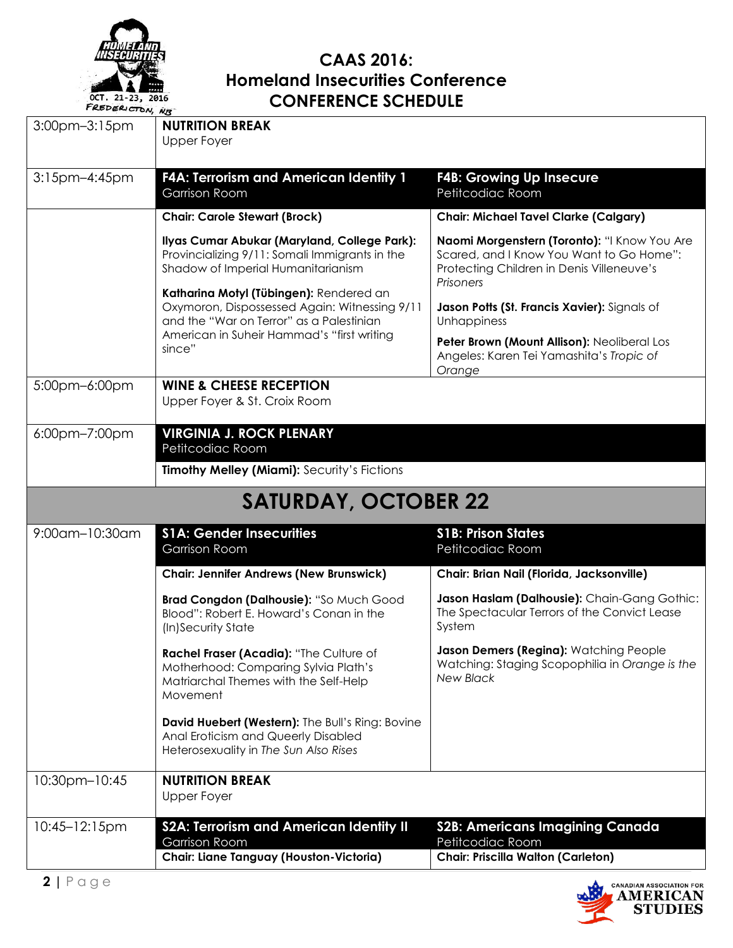

| $-0.0, N_S$<br>$3:00$ pm $-3:15$ pm | <b>NUTRITION BREAK</b>                                                                                                               |                                                                                                                                                    |
|-------------------------------------|--------------------------------------------------------------------------------------------------------------------------------------|----------------------------------------------------------------------------------------------------------------------------------------------------|
|                                     | <b>Upper Foyer</b>                                                                                                                   |                                                                                                                                                    |
|                                     |                                                                                                                                      |                                                                                                                                                    |
| 3:15pm-4:45pm                       | <b>F4A: Terrorism and American Identity 1</b><br><b>Garrison Room</b>                                                                | <b>F4B: Growing Up Insecure</b><br>Petitcodiac Room                                                                                                |
|                                     | <b>Chair: Carole Stewart (Brock)</b>                                                                                                 | <b>Chair: Michael Tavel Clarke (Calgary)</b>                                                                                                       |
|                                     | Ilyas Cumar Abukar (Maryland, College Park):<br>Provincializing 9/11: Somali Immigrants in the<br>Shadow of Imperial Humanitarianism | Naomi Morgenstern (Toronto): "I Know You Are<br>Scared, and I Know You Want to Go Home":<br>Protecting Children in Denis Villeneuve's<br>Prisoners |
|                                     | Katharina Motyl (Tübingen): Rendered an<br>Oxymoron, Dispossessed Again: Witnessing 9/11<br>and the "War on Terror" as a Palestinian | Jason Potts (St. Francis Xavier): Signals of<br>Unhappiness                                                                                        |
|                                     | American in Suheir Hammad's "first writing<br>since"                                                                                 | Peter Brown (Mount Allison): Neoliberal Los<br>Angeles: Karen Tei Yamashita's Tropic of<br>Orange                                                  |
| 5:00pm-6:00pm                       | <b>WINE &amp; CHEESE RECEPTION</b><br>Upper Foyer & St. Croix Room                                                                   |                                                                                                                                                    |
| 6:00pm-7:00pm                       | <b>VIRGINIA J. ROCK PLENARY</b><br>Petitcodiac Room                                                                                  |                                                                                                                                                    |
|                                     | Timothy Melley (Miami): Security's Fictions                                                                                          |                                                                                                                                                    |
|                                     | <b>SATURDAY, OCTOBER 22</b>                                                                                                          |                                                                                                                                                    |
| 9:00am-10:30am                      | <b>S1A: Gender Insecurities</b><br>Garrison Room                                                                                     | <b>S1B: Prison States</b><br>Petitcodiac Room                                                                                                      |
|                                     | <b>Chair: Jennifer Andrews (New Brunswick)</b>                                                                                       | Chair: Brian Nail (Florida, Jacksonville)                                                                                                          |
|                                     | Brad Congdon (Dalhousie): "So Much Good<br>Blood": Robert E. Howard's Conan in the<br>(In)Security State                             | Jason Haslam (Dalhousie): Chain-Gang Gothic:<br>The Spectacular Terrors of the Convict Lease<br>System                                             |
|                                     | Rachel Fraser (Acadia): "The Culture of<br>Motherhood: Comparing Sylvia Plath's<br>Matriarchal Themes with the Self-Help<br>Movement | Jason Demers (Regina): Watching People<br>Watching: Staging Scopophilia in Orange is the<br><b>New Black</b>                                       |
|                                     | David Huebert (Western): The Bull's Ring: Bovine<br>Anal Eroticism and Queerly Disabled<br>Heterosexuality in The Sun Also Rises     |                                                                                                                                                    |
| 10:30pm-10:45                       | <b>NUTRITION BREAK</b><br><b>Upper Foyer</b>                                                                                         |                                                                                                                                                    |
| 10:45-12:15pm                       | <b>S2A: Terrorism and American Identity II</b><br><b>Garrison Room</b>                                                               | <b>S2B: Americans Imagining Canada</b><br>Petitcodiac Room                                                                                         |
|                                     | Chair: Liane Tanguay (Houston-Victoria)                                                                                              | Chair: Priscilla Walton (Carleton)                                                                                                                 |

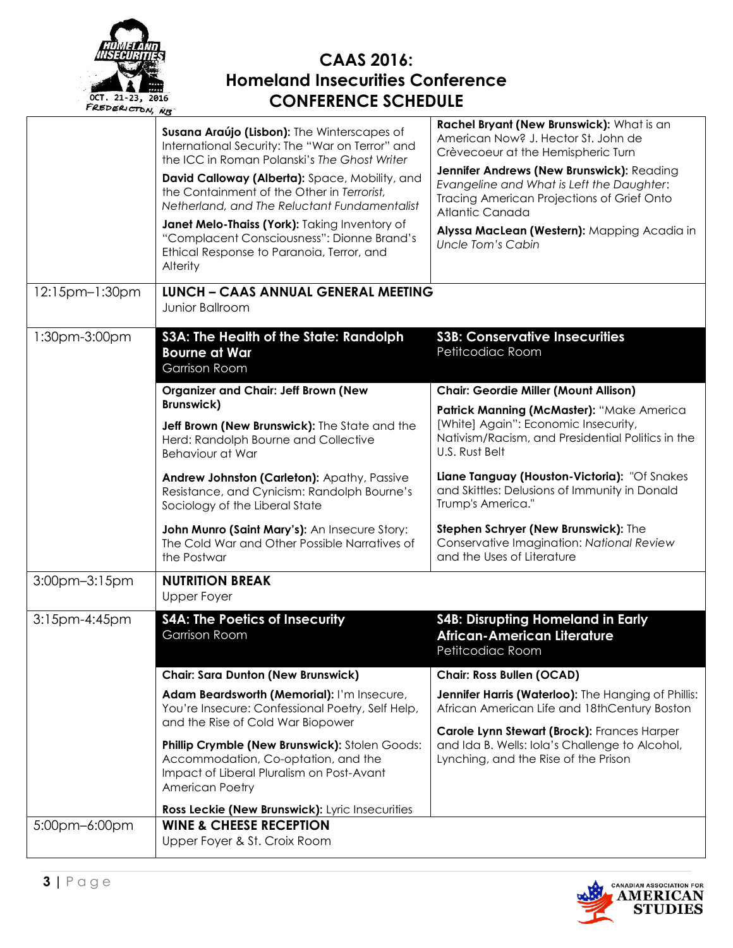

| $12:15$ pm- $1:30$ pm | Susana Araújo (Lisbon): The Winterscapes of<br>International Security: The "War on Terror" and<br>the ICC in Roman Polanski's The Ghost Writer<br>David Calloway (Alberta): Space, Mobility, and<br>the Containment of the Other in Terrorist,<br>Netherland, and The Reluctant Fundamentalist<br>Janet Melo-Thaiss (York): Taking Inventory of<br>"Complacent Consciousness": Dionne Brand's<br>Ethical Response to Paranoia, Terror, and<br>Alterity<br><b>LUNCH - CAAS ANNUAL GENERAL MEETING</b> | Rachel Bryant (New Brunswick): What is an<br>American Now? J. Hector St. John de<br>Crèvecoeur at the Hemispheric Turn<br>Jennifer Andrews (New Brunswick): Reading<br>Evangeline and What is Left the Daughter:<br>Tracing American Projections of Grief Onto<br>Atlantic Canada<br>Alyssa MacLean (Western): Mapping Acadia in<br>Uncle Tom's Cabin |  |
|-----------------------|------------------------------------------------------------------------------------------------------------------------------------------------------------------------------------------------------------------------------------------------------------------------------------------------------------------------------------------------------------------------------------------------------------------------------------------------------------------------------------------------------|-------------------------------------------------------------------------------------------------------------------------------------------------------------------------------------------------------------------------------------------------------------------------------------------------------------------------------------------------------|--|
|                       | Junior Ballroom                                                                                                                                                                                                                                                                                                                                                                                                                                                                                      |                                                                                                                                                                                                                                                                                                                                                       |  |
| 1:30pm-3:00pm         | S3A: The Health of the State: Randolph<br><b>Bourne at War</b><br><b>Garrison Room</b>                                                                                                                                                                                                                                                                                                                                                                                                               | <b>S3B: Conservative Insecurities</b><br>Petitcodiac Room                                                                                                                                                                                                                                                                                             |  |
|                       | <b>Organizer and Chair: Jeff Brown (New</b>                                                                                                                                                                                                                                                                                                                                                                                                                                                          | <b>Chair: Geordie Miller (Mount Allison)</b>                                                                                                                                                                                                                                                                                                          |  |
|                       | <b>Brunswick)</b><br>Jeff Brown (New Brunswick): The State and the<br>Herd: Randolph Bourne and Collective<br><b>Behaviour at War</b>                                                                                                                                                                                                                                                                                                                                                                | Patrick Manning (McMaster): "Make America<br>[White] Again": Economic Insecurity,<br>Nativism/Racism, and Presidential Politics in the<br>U.S. Rust Belt                                                                                                                                                                                              |  |
|                       | Andrew Johnston (Carleton): Apathy, Passive<br>Resistance, and Cynicism: Randolph Bourne's<br>Sociology of the Liberal State                                                                                                                                                                                                                                                                                                                                                                         | Liane Tanguay (Houston-Victoria): "Of Snakes<br>and Skittles: Delusions of Immunity in Donald<br>Trump's America."                                                                                                                                                                                                                                    |  |
|                       | John Munro (Saint Mary's): An Insecure Story:<br>The Cold War and Other Possible Narratives of<br>the Postwar                                                                                                                                                                                                                                                                                                                                                                                        | Stephen Schryer (New Brunswick): The<br>Conservative Imagination: National Review<br>and the Uses of Literature                                                                                                                                                                                                                                       |  |
| 3:00pm-3:15pm         | <b>NUTRITION BREAK</b><br><b>Upper Foyer</b>                                                                                                                                                                                                                                                                                                                                                                                                                                                         |                                                                                                                                                                                                                                                                                                                                                       |  |
| 3:15pm-4:45pm         | <b>S4A: The Poetics of Insecurity</b><br><b>Garrison Room</b>                                                                                                                                                                                                                                                                                                                                                                                                                                        | <b>S4B: Disrupting Homeland in Early</b><br><b>African-American Literature</b><br>Petitcodiac Room                                                                                                                                                                                                                                                    |  |
|                       | <b>Chair: Sara Dunton (New Brunswick)</b>                                                                                                                                                                                                                                                                                                                                                                                                                                                            | <b>Chair: Ross Bullen (OCAD)</b>                                                                                                                                                                                                                                                                                                                      |  |
|                       | Adam Beardsworth (Memorial): I'm Insecure,<br>You're Insecure: Confessional Poetry, Self Help,<br>and the Rise of Cold War Biopower                                                                                                                                                                                                                                                                                                                                                                  | Jennifer Harris (Waterloo): The Hanging of Phillis:<br>African American Life and 18thCentury Boston<br>Carole Lynn Stewart (Brock): Frances Harper                                                                                                                                                                                                    |  |
|                       | Phillip Crymble (New Brunswick): Stolen Goods:<br>Accommodation, Co-optation, and the<br>Impact of Liberal Pluralism on Post-Avant<br><b>American Poetry</b>                                                                                                                                                                                                                                                                                                                                         | and Ida B. Wells: Iola's Challenge to Alcohol,<br>Lynching, and the Rise of the Prison                                                                                                                                                                                                                                                                |  |
|                       | Ross Leckie (New Brunswick): Lyric Insecurities                                                                                                                                                                                                                                                                                                                                                                                                                                                      |                                                                                                                                                                                                                                                                                                                                                       |  |
| 5:00pm-6:00pm         | <b>WINE &amp; CHEESE RECEPTION</b><br>Upper Foyer & St. Croix Room                                                                                                                                                                                                                                                                                                                                                                                                                                   |                                                                                                                                                                                                                                                                                                                                                       |  |